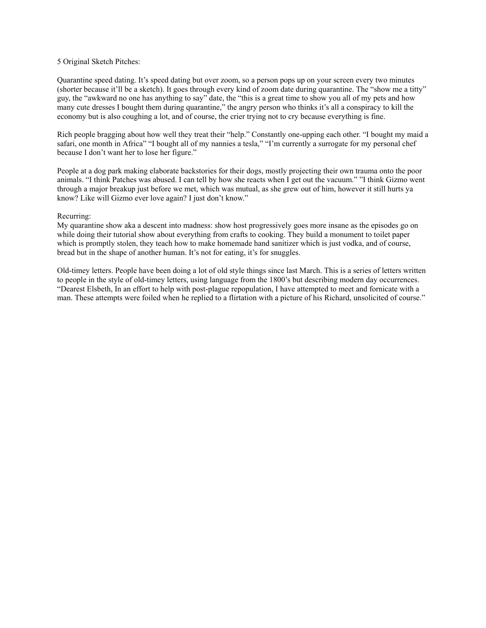### 5 Original Sketch Pitches:

Quarantine speed dating. It's speed dating but over zoom, so a person pops up on your screen every two minutes (shorter because it'll be a sketch). It goes through every kind of zoom date during quarantine. The "show me a titty" guy, the "awkward no one has anything to say" date, the "this is a great time to show you all of my pets and how many cute dresses I bought them during quarantine," the angry person who thinks it's all a conspiracy to kill the economy but is also coughing a lot, and of course, the crier trying not to cry because everything is fine.

Rich people bragging about how well they treat their "help." Constantly one-upping each other. "I bought my maid a safari, one month in Africa" "I bought all of my nannies a tesla," "I'm currently a surrogate for my personal chef because I don't want her to lose her figure."

People at a dog park making elaborate backstories for their dogs, mostly projecting their own trauma onto the poor animals. "I think Patches was abused. I can tell by how she reacts when I get out the vacuum." "I think Gizmo went through a major breakup just before we met, which was mutual, as she grew out of him, however it still hurts ya know? Like will Gizmo ever love again? I just don't know."

#### Recurring:

My quarantine show aka a descent into madness: show host progressively goes more insane as the episodes go on while doing their tutorial show about everything from crafts to cooking. They build a monument to toilet paper which is promptly stolen, they teach how to make homemade hand sanitizer which is just vodka, and of course, bread but in the shape of another human. It's not for eating, it's for snuggles.

Old-timey letters. People have been doing a lot of old style things since last March. This is a series of letters written to people in the style of old-timey letters, using language from the 1800's but describing modern day occurrences. "Dearest Elsbeth, In an effort to help with post-plague repopulation, I have attempted to meet and fornicate with a man. These attempts were foiled when he replied to a flirtation with a picture of his Richard, unsolicited of course."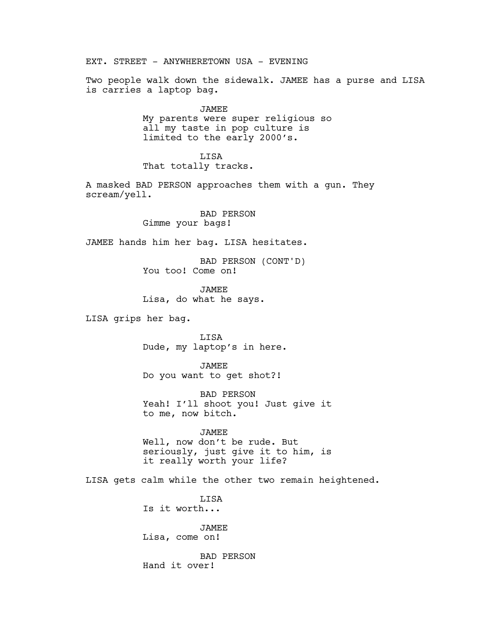EXT. STREET - ANYWHERETOWN USA - EVENING Two people walk down the sidewalk. JAMEE has a purse and LISA is carries a laptop bag. JAMEE My parents were super religious so all my taste in pop culture is limited to the early 2000's. LISA That totally tracks. A masked BAD PERSON approaches them with a gun. They scream/yell. BAD PERSON Gimme your bags! JAMEE hands him her bag. LISA hesitates. BAD PERSON (CONT'D) You too! Come on! JAMEE Lisa, do what he says. LISA grips her bag. LISA Dude, my laptop's in here. JAMEE Do you want to get shot?! BAD PERSON Yeah! I'll shoot you! Just give it to me, now bitch. JAMEE Well, now don't be rude. But seriously, just give it to him, is it really worth your life? LISA gets calm while the other two remain heightened. **T.TSA** Is it worth... JAMEE Lisa, come on! BAD PERSON Hand it over!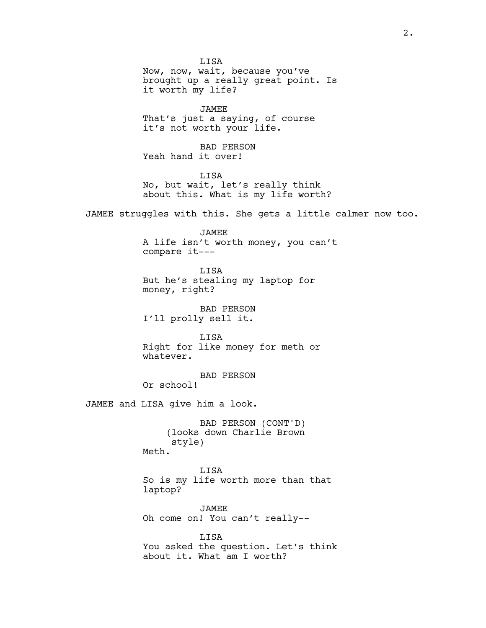LISA Now, now, wait, because you've brought up a really great point. Is it worth my life?

JAMEE That's just a saying, of course it's not worth your life.

BAD PERSON Yeah hand it over!

LISA No, but wait, let's really think about this. What is my life worth?

JAMEE struggles with this. She gets a little calmer now too.

JAMEE A life isn't worth money, you can't compare it---

LISA But he's stealing my laptop for money, right?

BAD PERSON I'll prolly sell it.

LISA Right for like money for meth or whatever.

BAD PERSON Or school!

JAMEE and LISA give him a look.

BAD PERSON (CONT'D) (looks down Charlie Brown style) Meth.

LISA So is my life worth more than that laptop?

JAMEE Oh come on! You can't really--

LISA You asked the question. Let's think about it. What am I worth?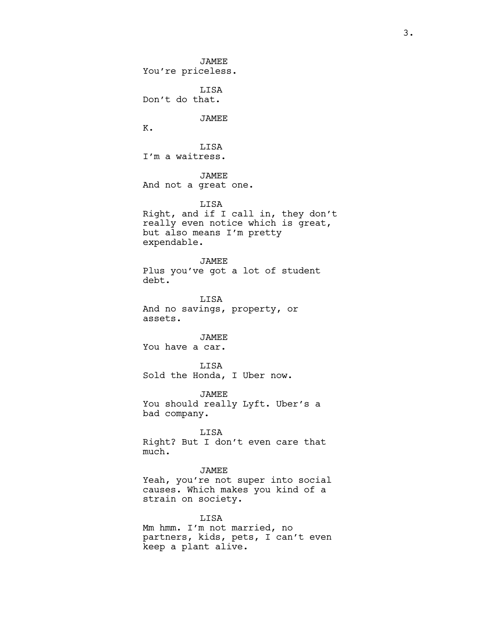JAMEE You're priceless. LISA Don't do that. JAMEE K. LISA I'm a waitress. JAMEE And not a great one. LISA Right, and if I call in, they don't really even notice which is great, but also means I'm pretty expendable. JAMEE Plus you've got a lot of student debt. LISA And no savings, property, or assets. JAMEE You have a car. LISA Sold the Honda, I Uber now. JAMEE You should really Lyft. Uber's a bad company. LISA Right? But I don't even care that much. JAMEE Yeah, you're not super into social causes. Which makes you kind of a strain on society. LISA Mm hmm. I'm not married, no

partners, kids, pets, I can't even keep a plant alive.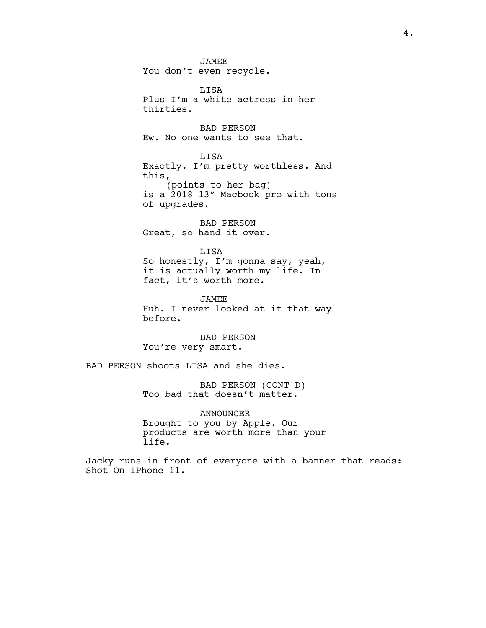JAMEE You don't even recycle.

LISA Plus I'm a white actress in her thirties.

BAD PERSON Ew. No one wants to see that.

LISA Exactly. I'm pretty worthless. And this, (points to her bag) is a 2018 13" Macbook pro with tons of upgrades.

BAD PERSON Great, so hand it over.

LISA So honestly, I'm gonna say, yeah, it is actually worth my life. In fact, it's worth more.

JAMEE Huh. I never looked at it that way before.

BAD PERSON You're very smart.

BAD PERSON shoots LISA and she dies.

BAD PERSON (CONT'D) Too bad that doesn't matter.

ANNOUNCER Brought to you by Apple. Our products are worth more than your life.

Jacky runs in front of everyone with a banner that reads: Shot On iPhone 11.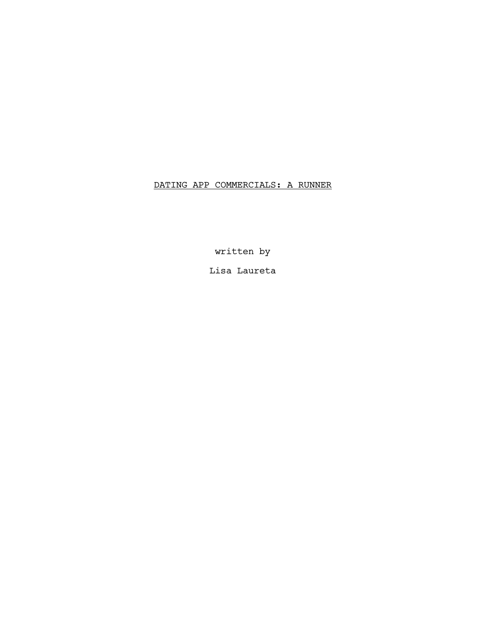# DATING APP COMMERCIALS: A RUNNER

written by

Lisa Laureta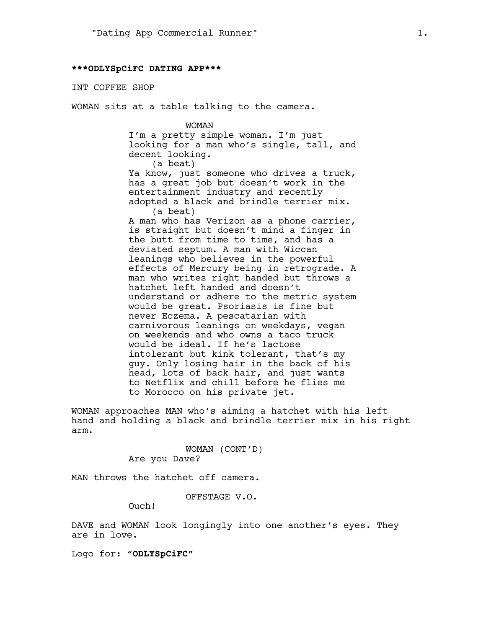#### **\*\*\*ODLYSpCiFC DATING APP\*\*\***

#### INT COFFEE SHOP

WOMAN sits at a table talking to the camera.

WOMAN I'm a pretty simple woman. I'm just looking for a man who's single, tall, and decent looking. (a beat) Ya know, just someone who drives a truck, has a great job but doesn't work in the entertainment industry and recently adopted a black and brindle terrier mix. (a beat) A man who has Verizon as a phone carrier, is straight but doesn't mind a finger in the butt from time to time, and has a deviated septum. A man with Wiccan leanings who believes in the powerful effects of Mercury being in retrograde. A man who writes right handed but throws a hatchet left handed and doesn't understand or adhere to the metric system would be great. Psoriasis is fine but never Eczema. A pescatarian with carnivorous leanings on weekdays, vegan on weekends and who owns a taco truck would be ideal. If he's lactose intolerant but kink tolerant, that's my guy. Only losing hair in the back of his head, lots of back hair, and just wants to Netflix and chill before he flies me to Morocco on his private jet.

WOMAN approaches MAN who's aiming a hatchet with his left hand and holding a black and brindle terrier mix in his right arm.

> WOMAN (CONT'D) Are you Dave?

MAN throws the hatchet off camera.

OFFSTAGE V.O.

Ouch!

DAVE and WOMAN look longingly into one another's eyes. They are in love.

Logo for: **"ODLYSpCiFC"**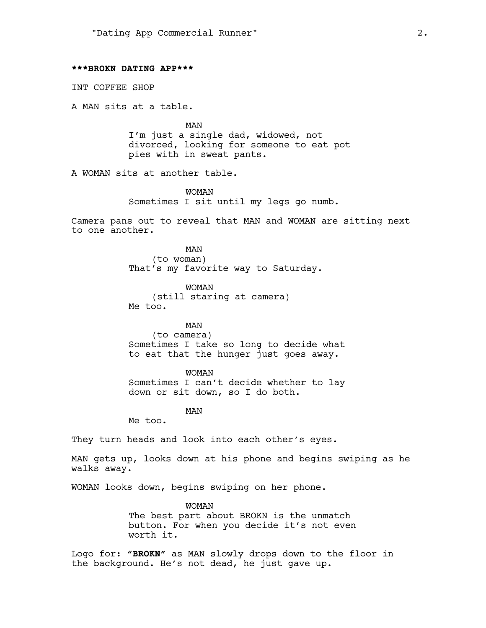#### **\*\*\*BROKN DATING APP\*\*\***

INT COFFEE SHOP

A MAN sits at a table.

MAN I'm just a single dad, widowed, not divorced, looking for someone to eat pot pies with in sweat pants.

A WOMAN sits at another table.

WOMAN Sometimes I sit until my legs go numb.

Camera pans out to reveal that MAN and WOMAN are sitting next to one another.

> MAN (to woman) That's my favorite way to Saturday.

WOMAN (still staring at camera) Me too.

MAN (to camera) Sometimes I take so long to decide what to eat that the hunger just goes away.

WOMAN Sometimes I can't decide whether to lay down or sit down, so I do both.

MAN

Me too.

They turn heads and look into each other's eyes.

MAN gets up, looks down at his phone and begins swiping as he walks away.

WOMAN looks down, begins swiping on her phone.

WOMAN The best part about BROKN is the unmatch button. For when you decide it's not even worth it.

Logo for: **"BROKN"** as MAN slowly drops down to the floor in the background. He's not dead, he just gave up.